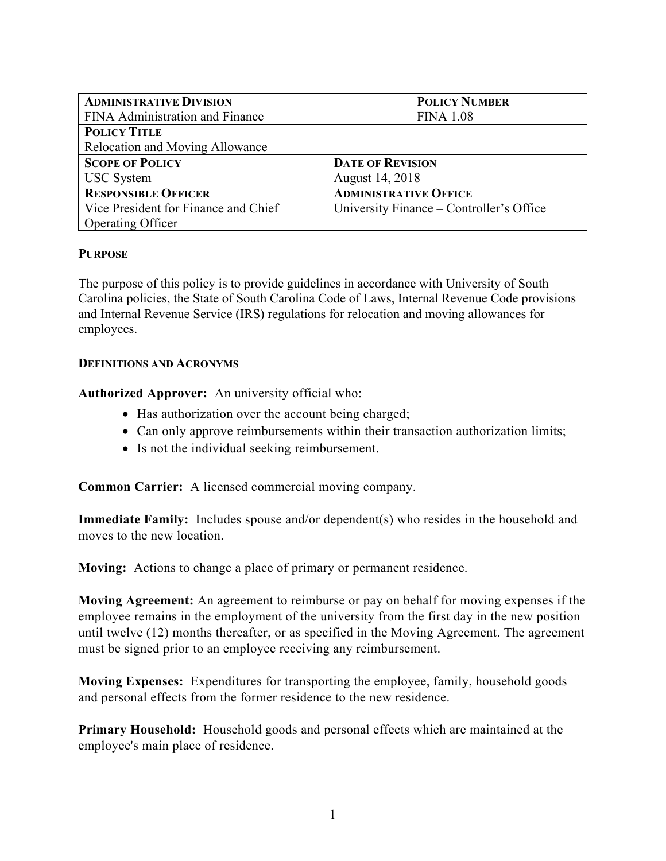| <b>ADMINISTRATIVE DIVISION</b>         | <b>POLICY NUMBER</b>                     |
|----------------------------------------|------------------------------------------|
| FINA Administration and Finance        | <b>FINA 1.08</b>                         |
| <b>POLICY TITLE</b>                    |                                          |
| <b>Relocation and Moving Allowance</b> |                                          |
| <b>SCOPE OF POLICY</b>                 | <b>DATE OF REVISION</b>                  |
| <b>USC</b> System                      | August 14, 2018                          |
| <b>RESPONSIBLE OFFICER</b>             | <b>ADMINISTRATIVE OFFICE</b>             |
| Vice President for Finance and Chief   | University Finance – Controller's Office |
| <b>Operating Officer</b>               |                                          |

#### **PURPOSE**

The purpose of this policy is to provide guidelines in accordance with University of South Carolina policies, the State of South Carolina Code of Laws, Internal Revenue Code provisions and Internal Revenue Service (IRS) regulations for relocation and moving allowances for employees.

#### **DEFINITIONS AND ACRONYMS**

**Authorized Approver:** An university official who:

- Has authorization over the account being charged;
- Can only approve reimbursements within their transaction authorization limits;
- Is not the individual seeking reimbursement.

**Common Carrier:** A licensed commercial moving company.

**Immediate Family:** Includes spouse and/or dependent(s) who resides in the household and moves to the new location.

**Moving:** Actions to change a place of primary or permanent residence.

**Moving Agreement:** An agreement to reimburse or pay on behalf for moving expenses if the employee remains in the employment of the university from the first day in the new position until twelve (12) months thereafter, or as specified in the Moving Agreement. The agreement must be signed prior to an employee receiving any reimbursement.

**Moving Expenses:** Expenditures for transporting the employee, family, household goods and personal effects from the former residence to the new residence.

**Primary Household:** Household goods and personal effects which are maintained at the employee's main place of residence.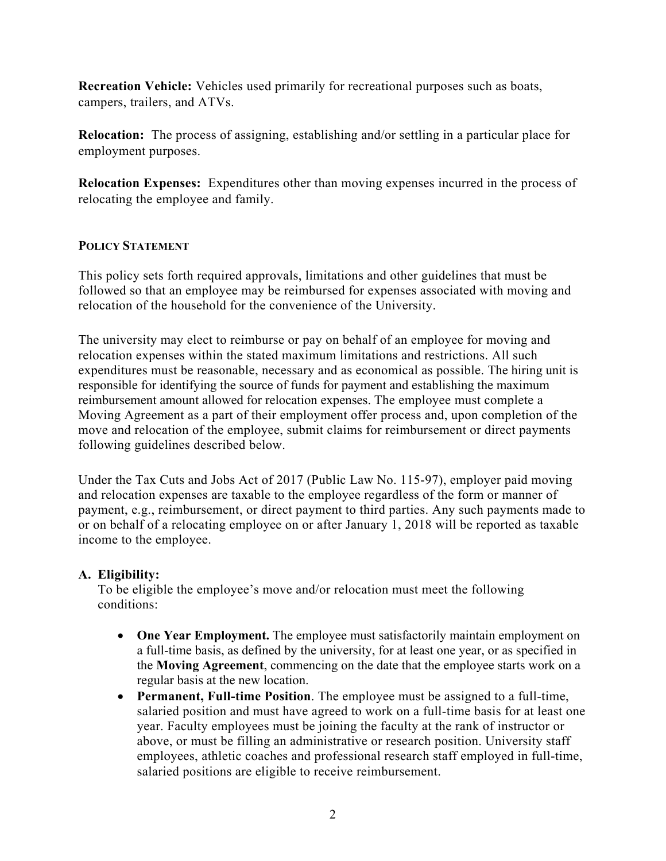**Recreation Vehicle:** Vehicles used primarily for recreational purposes such as boats, campers, trailers, and ATVs.

**Relocation:** The process of assigning, establishing and/or settling in a particular place for employment purposes.

**Relocation Expenses:** Expenditures other than moving expenses incurred in the process of relocating the employee and family.

### **POLICY STATEMENT**

This policy sets forth required approvals, limitations and other guidelines that must be followed so that an employee may be reimbursed for expenses associated with moving and relocation of the household for the convenience of the University.

The university may elect to reimburse or pay on behalf of an employee for moving and relocation expenses within the stated maximum limitations and restrictions. All such expenditures must be reasonable, necessary and as economical as possible. The hiring unit is responsible for identifying the source of funds for payment and establishing the maximum reimbursement amount allowed for relocation expenses. The employee must complete a Moving Agreement as a part of their employment offer process and, upon completion of the move and relocation of the employee, submit claims for reimbursement or direct payments following guidelines described below.

Under the Tax Cuts and Jobs Act of 2017 (Public Law No. 115-97), employer paid moving and relocation expenses are taxable to the employee regardless of the form or manner of payment, e.g., reimbursement, or direct payment to third parties. Any such payments made to or on behalf of a relocating employee on or after January 1, 2018 will be reported as taxable income to the employee.

# **A. Eligibility:**

To be eligible the employee's move and/or relocation must meet the following conditions:

- **One Year Employment.** The employee must satisfactorily maintain employment on a full-time basis, as defined by the university, for at least one year, or as specified in the **Moving Agreement**, commencing on the date that the employee starts work on a regular basis at the new location.
- **Permanent, Full-time Position**. The employee must be assigned to a full-time, salaried position and must have agreed to work on a full-time basis for at least one year. Faculty employees must be joining the faculty at the rank of instructor or above, or must be filling an administrative or research position. University staff employees, athletic coaches and professional research staff employed in full-time, salaried positions are eligible to receive reimbursement.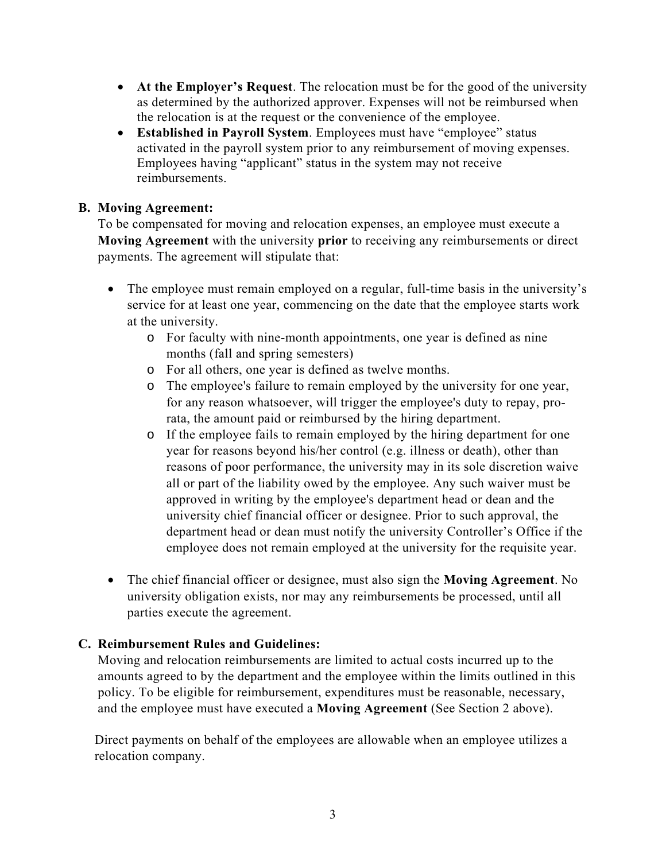- **At the Employer's Request**. The relocation must be for the good of the university as determined by the authorized approver. Expenses will not be reimbursed when the relocation is at the request or the convenience of the employee.
- **Established in Payroll System**. Employees must have "employee" status activated in the payroll system prior to any reimbursement of moving expenses. Employees having "applicant" status in the system may not receive reimbursements.

## **B. Moving Agreement:**

To be compensated for moving and relocation expenses, an employee must execute a **Moving Agreement** with the university **prior** to receiving any reimbursements or direct payments. The agreement will stipulate that:

- The employee must remain employed on a regular, full-time basis in the university's service for at least one year, commencing on the date that the employee starts work at the university.
	- o For faculty with nine-month appointments, one year is defined as nine months (fall and spring semesters)
	- o For all others, one year is defined as twelve months.
	- o The employee's failure to remain employed by the university for one year, for any reason whatsoever, will trigger the employee's duty to repay, prorata, the amount paid or reimbursed by the hiring department.
	- o If the employee fails to remain employed by the hiring department for one year for reasons beyond his/her control (e.g. illness or death), other than reasons of poor performance, the university may in its sole discretion waive all or part of the liability owed by the employee. Any such waiver must be approved in writing by the employee's department head or dean and the university chief financial officer or designee. Prior to such approval, the department head or dean must notify the university Controller's Office if the employee does not remain employed at the university for the requisite year.
- The chief financial officer or designee, must also sign the **Moving Agreement**. No university obligation exists, nor may any reimbursements be processed, until all parties execute the agreement.

# **C. Reimbursement Rules and Guidelines:**

Moving and relocation reimbursements are limited to actual costs incurred up to the amounts agreed to by the department and the employee within the limits outlined in this policy. To be eligible for reimbursement, expenditures must be reasonable, necessary, and the employee must have executed a **Moving Agreement** (See Section 2 above).

Direct payments on behalf of the employees are allowable when an employee utilizes a relocation company.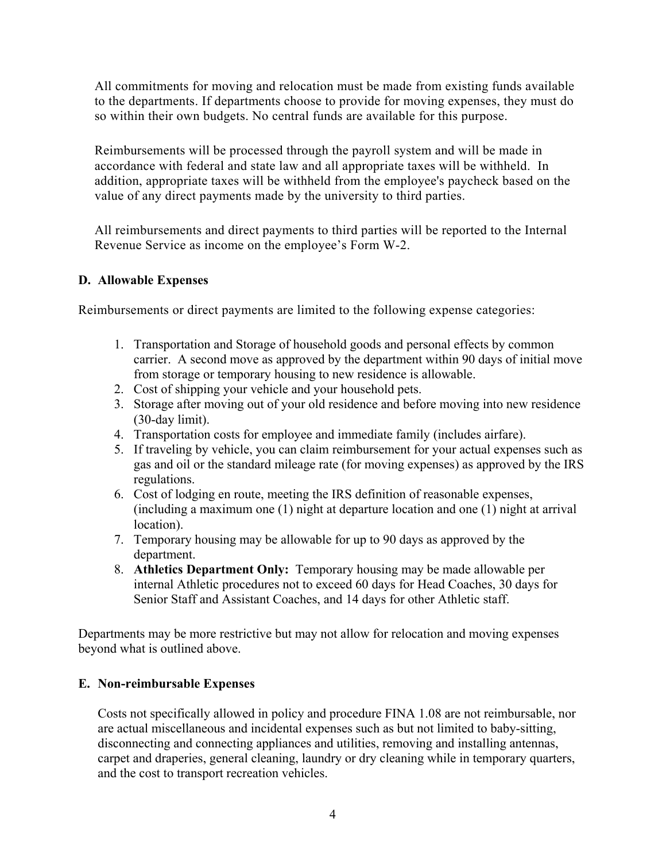All commitments for moving and relocation must be made from existing funds available to the departments. If departments choose to provide for moving expenses, they must do so within their own budgets. No central funds are available for this purpose.

Reimbursements will be processed through the payroll system and will be made in accordance with federal and state law and all appropriate taxes will be withheld. In addition, appropriate taxes will be withheld from the employee's paycheck based on the value of any direct payments made by the university to third parties.

All reimbursements and direct payments to third parties will be reported to the Internal Revenue Service as income on the employee's Form W-2.

### **D. Allowable Expenses**

Reimbursements or direct payments are limited to the following expense categories:

- 1. Transportation and Storage of household goods and personal effects by common carrier. A second move as approved by the department within 90 days of initial move from storage or temporary housing to new residence is allowable.
- 2. Cost of shipping your vehicle and your household pets.
- 3. Storage after moving out of your old residence and before moving into new residence (30-day limit).
- 4. Transportation costs for employee and immediate family (includes airfare).
- 5. If traveling by vehicle, you can claim reimbursement for your actual expenses such as gas and oil or the standard mileage rate (for moving expenses) as approved by the IRS regulations.
- 6. Cost of lodging en route, meeting the IRS definition of reasonable expenses, (including a maximum one (1) night at departure location and one (1) night at arrival location).
- 7. Temporary housing may be allowable for up to 90 days as approved by the department.
- 8. **Athletics Department Only:** Temporary housing may be made allowable per internal Athletic procedures not to exceed 60 days for Head Coaches, 30 days for Senior Staff and Assistant Coaches, and 14 days for other Athletic staff.

Departments may be more restrictive but may not allow for relocation and moving expenses beyond what is outlined above.

# **E. Non-reimbursable Expenses**

Costs not specifically allowed in policy and procedure FINA 1.08 are not reimbursable, nor are actual miscellaneous and incidental expenses such as but not limited to baby-sitting, disconnecting and connecting appliances and utilities, removing and installing antennas, carpet and draperies, general cleaning, laundry or dry cleaning while in temporary quarters, and the cost to transport recreation vehicles.